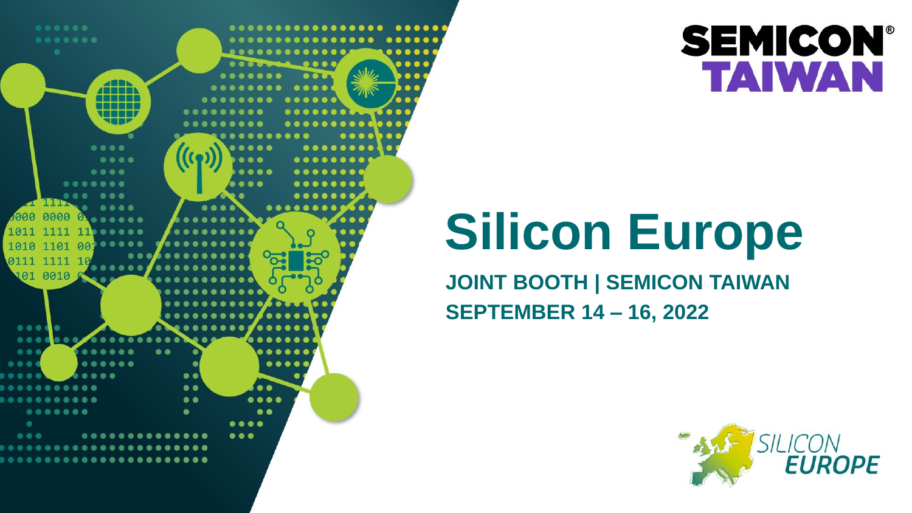

# **Silicon Europe**

**JOINT BOOTH | SEMICON TAIWAN SEPTEMBER 14 – 16, 2022**



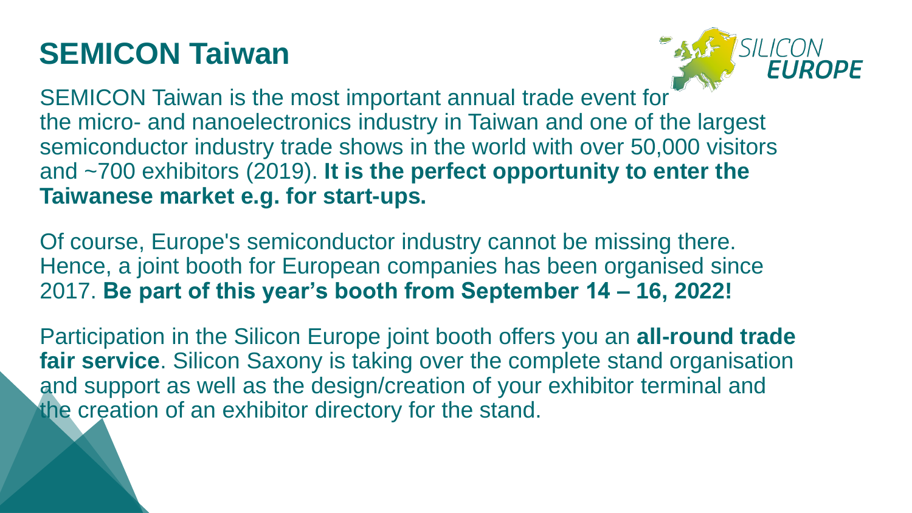# **SEMICON Taiwan**



SEMICON Taiwan is the most important annual trade event for the micro- and nanoelectronics industry in Taiwan and one of the largest semiconductor industry trade shows in the world with over 50,000 visitors and ~700 exhibitors (2019). **It is the perfect opportunity to enter the Taiwanese market e.g. for start-ups.**

Of course, Europe's semiconductor industry cannot be missing there. Hence, a joint booth for European companies has been organised since 2017. **Be part of this year's booth from September 14 – 16, 2022!**

Participation in the Silicon Europe joint booth offers you an **all-round trade fair service**. Silicon Saxony is taking over the complete stand organisation and support as well as the design/creation of your exhibitor terminal and the creation of an exhibitor directory for the stand.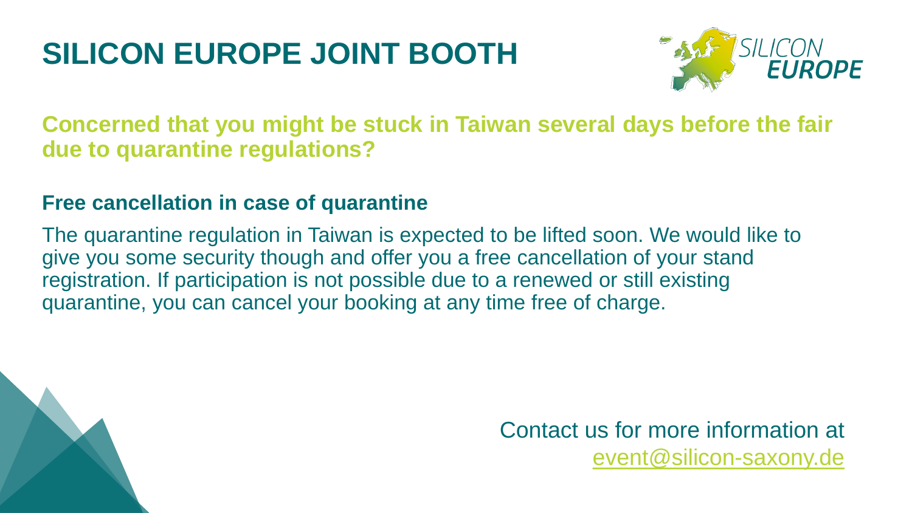

**Concerned that you might be stuck in Taiwan several days before the fair due to quarantine regulations?**

#### **Free cancellation in case of quarantine**

The quarantine regulation in Taiwan is expected to be lifted soon. We would like to give you some security though and offer you a free cancellation of your stand registration. If participation is not possible due to a renewed or still existing quarantine, you can cancel your booking at any time free of charge.



Contact us for more information at [event@silicon-saxony.de](mailto:event@silicon-saxony.de)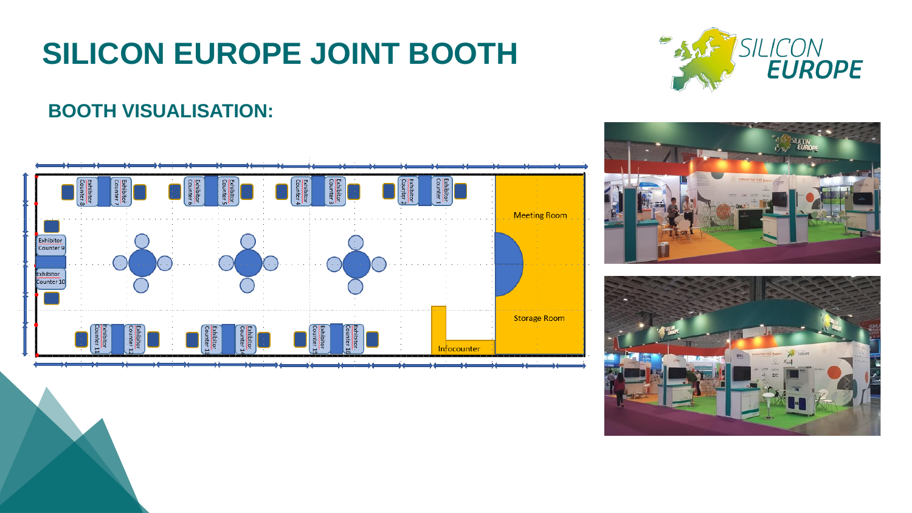

#### **BOOTH VISUALISATION:**





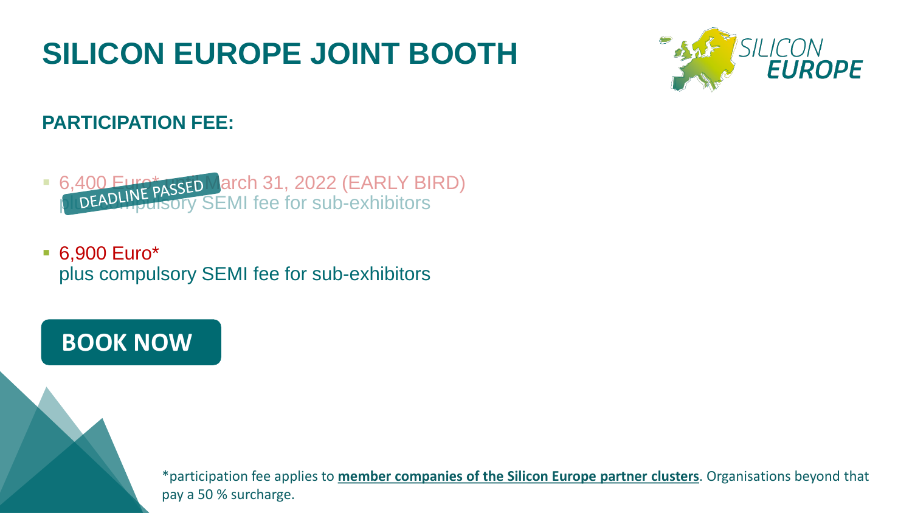

### **PARTICIPATION FEE:**

- **6,400 Euro ÅASSED March 31, 2022 (EARLY BIRD)** plud DEADLING cory SEMI fee for sub-exhibitors
- 6,900 Euro<sup>\*</sup> plus compulsory SEMI fee for sub-exhibitors

## **[BOOK NOW](https://www.silicon-saxony.de/nc/en/events/event-detail/events-information/event/show/semicon-taiwan-2022/)**

\*participation fee applies to **member companies of the [Silicon Europe partner](https://www.silicon-europe.eu/partners/) clusters**. Organisations beyond that pay a 50 % surcharge.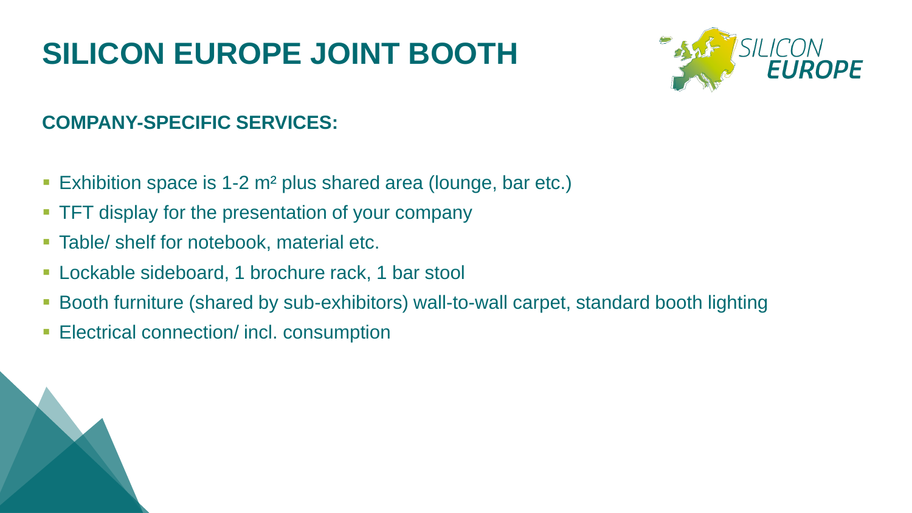

### **COMPANY-SPECIFIC SERVICES:**

- Exhibition space is 1-2 m<sup>2</sup> plus shared area (lounge, bar etc.)
- **TFT display for the presentation of your company**
- **EXEC** 1 Table/ shelf for notebook, material etc.
- **Lockable sideboard, 1 brochure rack, 1 bar stool**
- **Booth furniture (shared by sub-exhibitors) wall-to-wall carpet, standard booth lighting**
- **Electrical connection/ incl. consumption**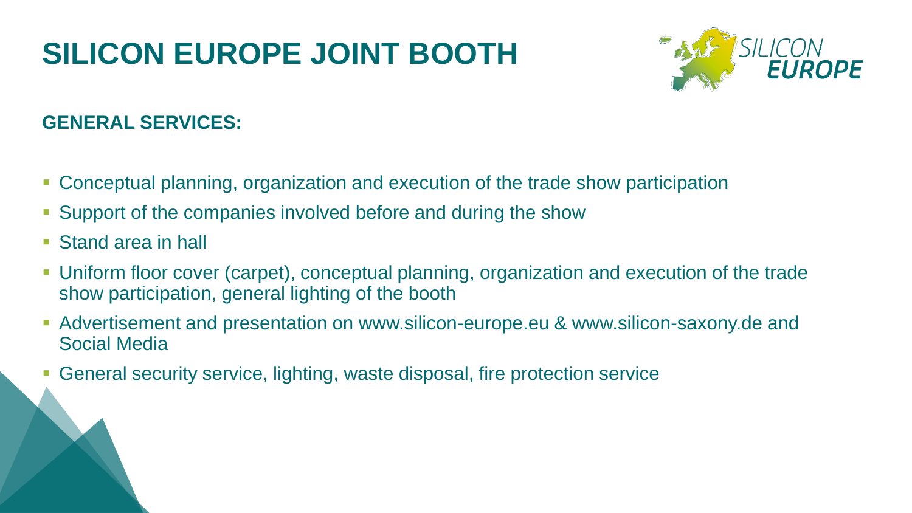

## **GENERAL SERVICES:**

- **Conceptual planning, organization and execution of the trade show participation**
- Support of the companies involved before and during the show
- Stand area in hall
- **Uniform floor cover (carpet), conceptual planning, organization and execution of the trade** show participation, general lighting of the booth
- **EXED Advertisement and presentation on www.silicon-europe.eu & www.silicon-saxony.de and** Social Media
- General security service, lighting, waste disposal, fire protection service